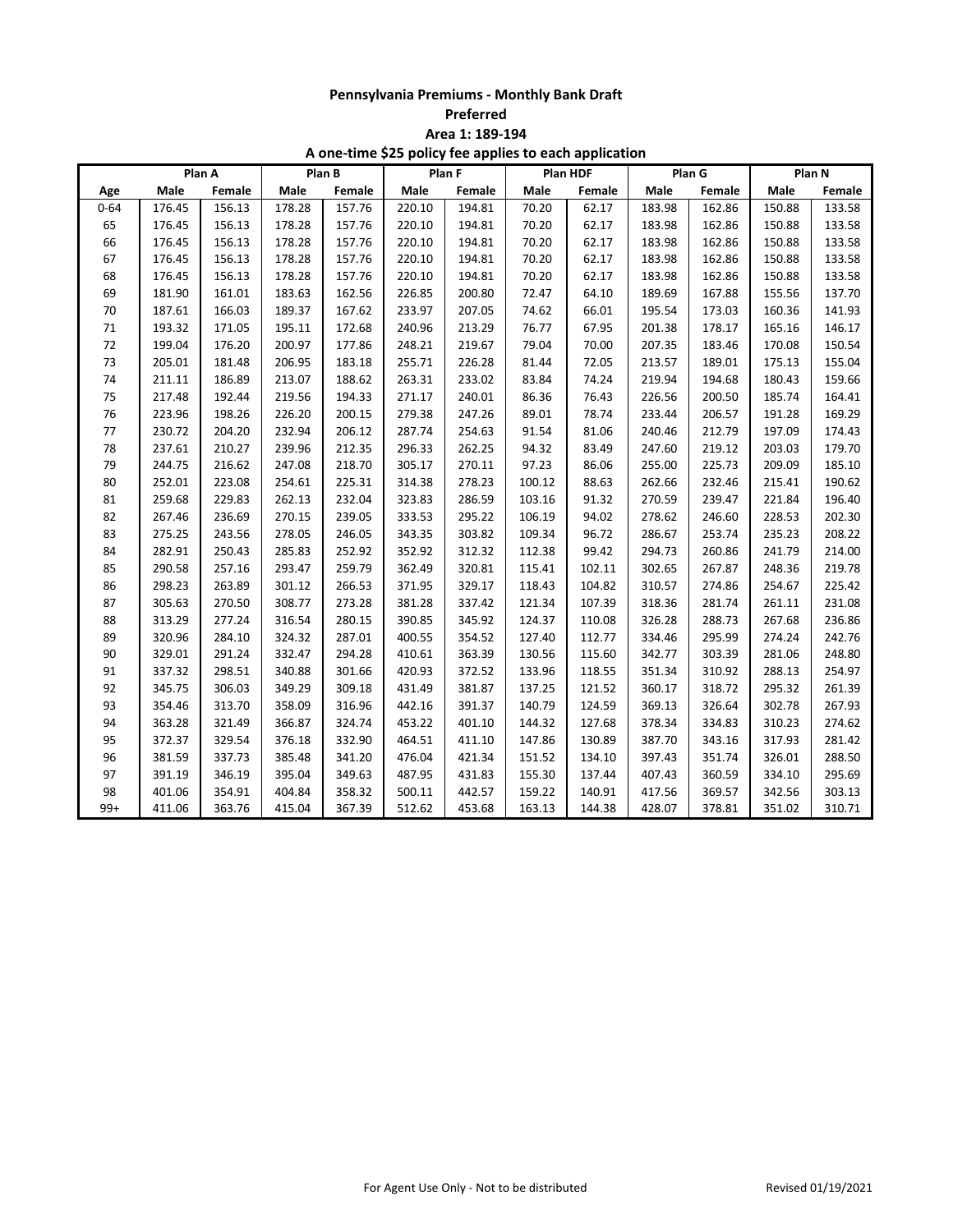**Preferred**

**Area 1: 189-194**

|          | Plan A |        | Plan B |        | Plan F |        | Plan HDF |        | Plan G |        | Plan N |        |
|----------|--------|--------|--------|--------|--------|--------|----------|--------|--------|--------|--------|--------|
| Age      | Male   | Female | Male   | Female | Male   | Female | Male     | Female | Male   | Female | Male   | Female |
| $0 - 64$ | 176.45 | 156.13 | 178.28 | 157.76 | 220.10 | 194.81 | 70.20    | 62.17  | 183.98 | 162.86 | 150.88 | 133.58 |
| 65       | 176.45 | 156.13 | 178.28 | 157.76 | 220.10 | 194.81 | 70.20    | 62.17  | 183.98 | 162.86 | 150.88 | 133.58 |
| 66       | 176.45 | 156.13 | 178.28 | 157.76 | 220.10 | 194.81 | 70.20    | 62.17  | 183.98 | 162.86 | 150.88 | 133.58 |
| 67       | 176.45 | 156.13 | 178.28 | 157.76 | 220.10 | 194.81 | 70.20    | 62.17  | 183.98 | 162.86 | 150.88 | 133.58 |
| 68       | 176.45 | 156.13 | 178.28 | 157.76 | 220.10 | 194.81 | 70.20    | 62.17  | 183.98 | 162.86 | 150.88 | 133.58 |
| 69       | 181.90 | 161.01 | 183.63 | 162.56 | 226.85 | 200.80 | 72.47    | 64.10  | 189.69 | 167.88 | 155.56 | 137.70 |
| 70       | 187.61 | 166.03 | 189.37 | 167.62 | 233.97 | 207.05 | 74.62    | 66.01  | 195.54 | 173.03 | 160.36 | 141.93 |
| $71\,$   | 193.32 | 171.05 | 195.11 | 172.68 | 240.96 | 213.29 | 76.77    | 67.95  | 201.38 | 178.17 | 165.16 | 146.17 |
| $72\,$   | 199.04 | 176.20 | 200.97 | 177.86 | 248.21 | 219.67 | 79.04    | 70.00  | 207.35 | 183.46 | 170.08 | 150.54 |
| 73       | 205.01 | 181.48 | 206.95 | 183.18 | 255.71 | 226.28 | 81.44    | 72.05  | 213.57 | 189.01 | 175.13 | 155.04 |
| 74       | 211.11 | 186.89 | 213.07 | 188.62 | 263.31 | 233.02 | 83.84    | 74.24  | 219.94 | 194.68 | 180.43 | 159.66 |
| 75       | 217.48 | 192.44 | 219.56 | 194.33 | 271.17 | 240.01 | 86.36    | 76.43  | 226.56 | 200.50 | 185.74 | 164.41 |
| 76       | 223.96 | 198.26 | 226.20 | 200.15 | 279.38 | 247.26 | 89.01    | 78.74  | 233.44 | 206.57 | 191.28 | 169.29 |
| 77       | 230.72 | 204.20 | 232.94 | 206.12 | 287.74 | 254.63 | 91.54    | 81.06  | 240.46 | 212.79 | 197.09 | 174.43 |
| 78       | 237.61 | 210.27 | 239.96 | 212.35 | 296.33 | 262.25 | 94.32    | 83.49  | 247.60 | 219.12 | 203.03 | 179.70 |
| 79       | 244.75 | 216.62 | 247.08 | 218.70 | 305.17 | 270.11 | 97.23    | 86.06  | 255.00 | 225.73 | 209.09 | 185.10 |
| 80       | 252.01 | 223.08 | 254.61 | 225.31 | 314.38 | 278.23 | 100.12   | 88.63  | 262.66 | 232.46 | 215.41 | 190.62 |
| 81       | 259.68 | 229.83 | 262.13 | 232.04 | 323.83 | 286.59 | 103.16   | 91.32  | 270.59 | 239.47 | 221.84 | 196.40 |
| 82       | 267.46 | 236.69 | 270.15 | 239.05 | 333.53 | 295.22 | 106.19   | 94.02  | 278.62 | 246.60 | 228.53 | 202.30 |
| 83       | 275.25 | 243.56 | 278.05 | 246.05 | 343.35 | 303.82 | 109.34   | 96.72  | 286.67 | 253.74 | 235.23 | 208.22 |
| 84       | 282.91 | 250.43 | 285.83 | 252.92 | 352.92 | 312.32 | 112.38   | 99.42  | 294.73 | 260.86 | 241.79 | 214.00 |
| 85       | 290.58 | 257.16 | 293.47 | 259.79 | 362.49 | 320.81 | 115.41   | 102.11 | 302.65 | 267.87 | 248.36 | 219.78 |
| 86       | 298.23 | 263.89 | 301.12 | 266.53 | 371.95 | 329.17 | 118.43   | 104.82 | 310.57 | 274.86 | 254.67 | 225.42 |
| 87       | 305.63 | 270.50 | 308.77 | 273.28 | 381.28 | 337.42 | 121.34   | 107.39 | 318.36 | 281.74 | 261.11 | 231.08 |
| 88       | 313.29 | 277.24 | 316.54 | 280.15 | 390.85 | 345.92 | 124.37   | 110.08 | 326.28 | 288.73 | 267.68 | 236.86 |
| 89       | 320.96 | 284.10 | 324.32 | 287.01 | 400.55 | 354.52 | 127.40   | 112.77 | 334.46 | 295.99 | 274.24 | 242.76 |
| 90       | 329.01 | 291.24 | 332.47 | 294.28 | 410.61 | 363.39 | 130.56   | 115.60 | 342.77 | 303.39 | 281.06 | 248.80 |
| 91       | 337.32 | 298.51 | 340.88 | 301.66 | 420.93 | 372.52 | 133.96   | 118.55 | 351.34 | 310.92 | 288.13 | 254.97 |
| 92       | 345.75 | 306.03 | 349.29 | 309.18 | 431.49 | 381.87 | 137.25   | 121.52 | 360.17 | 318.72 | 295.32 | 261.39 |
| 93       | 354.46 | 313.70 | 358.09 | 316.96 | 442.16 | 391.37 | 140.79   | 124.59 | 369.13 | 326.64 | 302.78 | 267.93 |
| 94       | 363.28 | 321.49 | 366.87 | 324.74 | 453.22 | 401.10 | 144.32   | 127.68 | 378.34 | 334.83 | 310.23 | 274.62 |
| 95       | 372.37 | 329.54 | 376.18 | 332.90 | 464.51 | 411.10 | 147.86   | 130.89 | 387.70 | 343.16 | 317.93 | 281.42 |
| 96       | 381.59 | 337.73 | 385.48 | 341.20 | 476.04 | 421.34 | 151.52   | 134.10 | 397.43 | 351.74 | 326.01 | 288.50 |
| 97       | 391.19 | 346.19 | 395.04 | 349.63 | 487.95 | 431.83 | 155.30   | 137.44 | 407.43 | 360.59 | 334.10 | 295.69 |
| 98       | 401.06 | 354.91 | 404.84 | 358.32 | 500.11 | 442.57 | 159.22   | 140.91 | 417.56 | 369.57 | 342.56 | 303.13 |
| $99+$    | 411.06 | 363.76 | 415.04 | 367.39 | 512.62 | 453.68 | 163.13   | 144.38 | 428.07 | 378.81 | 351.02 | 310.71 |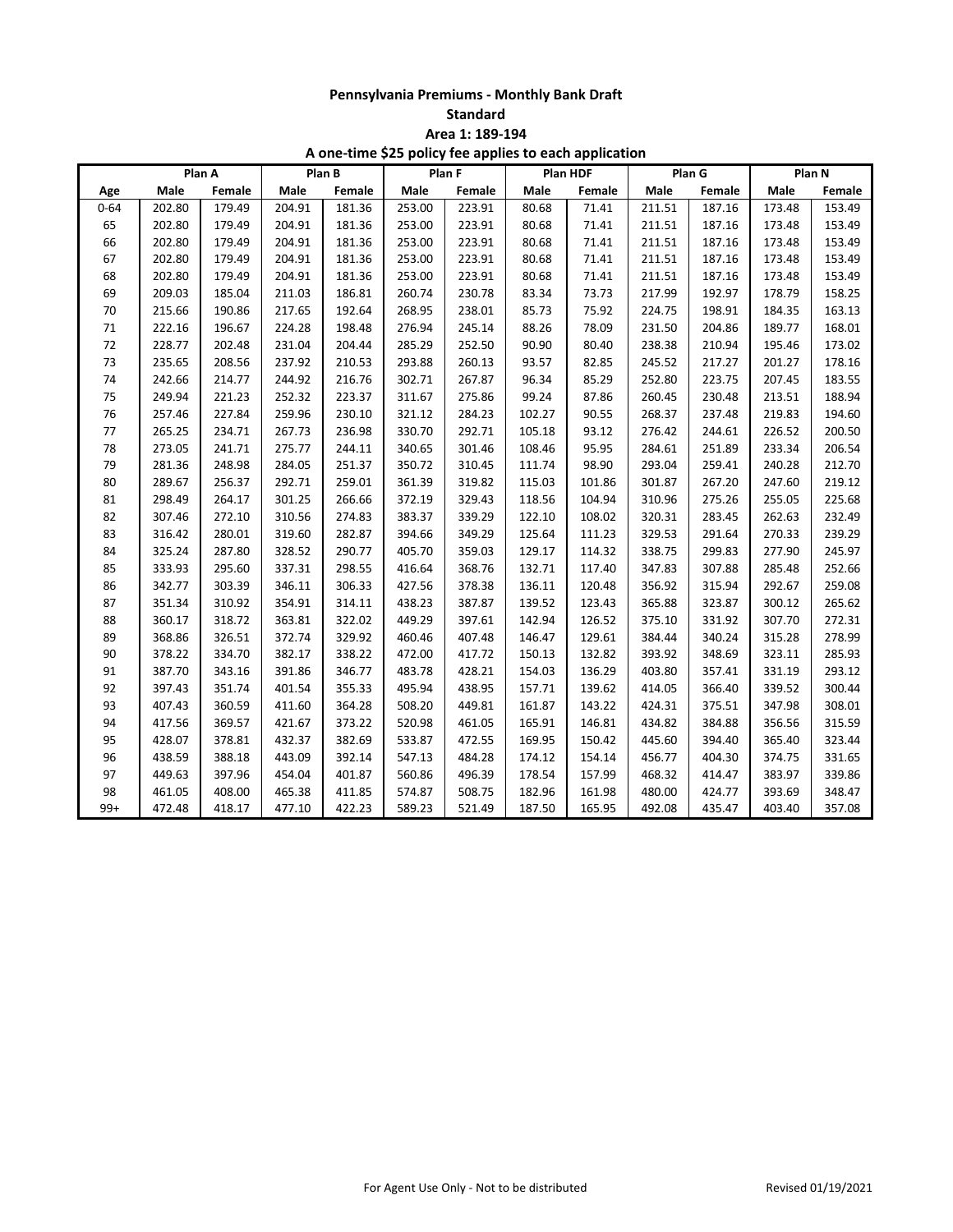**Standard**

**Area 1: 189-194**

|          | Plan A |        | Plan B |        | Plan F |        | Plan HDF |        | Plan G |        | Plan N |        |
|----------|--------|--------|--------|--------|--------|--------|----------|--------|--------|--------|--------|--------|
| Age      | Male   | Female | Male   | Female | Male   | Female | Male     | Female | Male   | Female | Male   | Female |
| $0 - 64$ | 202.80 | 179.49 | 204.91 | 181.36 | 253.00 | 223.91 | 80.68    | 71.41  | 211.51 | 187.16 | 173.48 | 153.49 |
| 65       | 202.80 | 179.49 | 204.91 | 181.36 | 253.00 | 223.91 | 80.68    | 71.41  | 211.51 | 187.16 | 173.48 | 153.49 |
| 66       | 202.80 | 179.49 | 204.91 | 181.36 | 253.00 | 223.91 | 80.68    | 71.41  | 211.51 | 187.16 | 173.48 | 153.49 |
| 67       | 202.80 | 179.49 | 204.91 | 181.36 | 253.00 | 223.91 | 80.68    | 71.41  | 211.51 | 187.16 | 173.48 | 153.49 |
| 68       | 202.80 | 179.49 | 204.91 | 181.36 | 253.00 | 223.91 | 80.68    | 71.41  | 211.51 | 187.16 | 173.48 | 153.49 |
| 69       | 209.03 | 185.04 | 211.03 | 186.81 | 260.74 | 230.78 | 83.34    | 73.73  | 217.99 | 192.97 | 178.79 | 158.25 |
| 70       | 215.66 | 190.86 | 217.65 | 192.64 | 268.95 | 238.01 | 85.73    | 75.92  | 224.75 | 198.91 | 184.35 | 163.13 |
| 71       | 222.16 | 196.67 | 224.28 | 198.48 | 276.94 | 245.14 | 88.26    | 78.09  | 231.50 | 204.86 | 189.77 | 168.01 |
| 72       | 228.77 | 202.48 | 231.04 | 204.44 | 285.29 | 252.50 | 90.90    | 80.40  | 238.38 | 210.94 | 195.46 | 173.02 |
| 73       | 235.65 | 208.56 | 237.92 | 210.53 | 293.88 | 260.13 | 93.57    | 82.85  | 245.52 | 217.27 | 201.27 | 178.16 |
| 74       | 242.66 | 214.77 | 244.92 | 216.76 | 302.71 | 267.87 | 96.34    | 85.29  | 252.80 | 223.75 | 207.45 | 183.55 |
| 75       | 249.94 | 221.23 | 252.32 | 223.37 | 311.67 | 275.86 | 99.24    | 87.86  | 260.45 | 230.48 | 213.51 | 188.94 |
| 76       | 257.46 | 227.84 | 259.96 | 230.10 | 321.12 | 284.23 | 102.27   | 90.55  | 268.37 | 237.48 | 219.83 | 194.60 |
| 77       | 265.25 | 234.71 | 267.73 | 236.98 | 330.70 | 292.71 | 105.18   | 93.12  | 276.42 | 244.61 | 226.52 | 200.50 |
| 78       | 273.05 | 241.71 | 275.77 | 244.11 | 340.65 | 301.46 | 108.46   | 95.95  | 284.61 | 251.89 | 233.34 | 206.54 |
| 79       | 281.36 | 248.98 | 284.05 | 251.37 | 350.72 | 310.45 | 111.74   | 98.90  | 293.04 | 259.41 | 240.28 | 212.70 |
| 80       | 289.67 | 256.37 | 292.71 | 259.01 | 361.39 | 319.82 | 115.03   | 101.86 | 301.87 | 267.20 | 247.60 | 219.12 |
| 81       | 298.49 | 264.17 | 301.25 | 266.66 | 372.19 | 329.43 | 118.56   | 104.94 | 310.96 | 275.26 | 255.05 | 225.68 |
| 82       | 307.46 | 272.10 | 310.56 | 274.83 | 383.37 | 339.29 | 122.10   | 108.02 | 320.31 | 283.45 | 262.63 | 232.49 |
| 83       | 316.42 | 280.01 | 319.60 | 282.87 | 394.66 | 349.29 | 125.64   | 111.23 | 329.53 | 291.64 | 270.33 | 239.29 |
| 84       | 325.24 | 287.80 | 328.52 | 290.77 | 405.70 | 359.03 | 129.17   | 114.32 | 338.75 | 299.83 | 277.90 | 245.97 |
| 85       | 333.93 | 295.60 | 337.31 | 298.55 | 416.64 | 368.76 | 132.71   | 117.40 | 347.83 | 307.88 | 285.48 | 252.66 |
| 86       | 342.77 | 303.39 | 346.11 | 306.33 | 427.56 | 378.38 | 136.11   | 120.48 | 356.92 | 315.94 | 292.67 | 259.08 |
| 87       | 351.34 | 310.92 | 354.91 | 314.11 | 438.23 | 387.87 | 139.52   | 123.43 | 365.88 | 323.87 | 300.12 | 265.62 |
| 88       | 360.17 | 318.72 | 363.81 | 322.02 | 449.29 | 397.61 | 142.94   | 126.52 | 375.10 | 331.92 | 307.70 | 272.31 |
| 89       | 368.86 | 326.51 | 372.74 | 329.92 | 460.46 | 407.48 | 146.47   | 129.61 | 384.44 | 340.24 | 315.28 | 278.99 |
| 90       | 378.22 | 334.70 | 382.17 | 338.22 | 472.00 | 417.72 | 150.13   | 132.82 | 393.92 | 348.69 | 323.11 | 285.93 |
| 91       | 387.70 | 343.16 | 391.86 | 346.77 | 483.78 | 428.21 | 154.03   | 136.29 | 403.80 | 357.41 | 331.19 | 293.12 |
| 92       | 397.43 | 351.74 | 401.54 | 355.33 | 495.94 | 438.95 | 157.71   | 139.62 | 414.05 | 366.40 | 339.52 | 300.44 |
| 93       | 407.43 | 360.59 | 411.60 | 364.28 | 508.20 | 449.81 | 161.87   | 143.22 | 424.31 | 375.51 | 347.98 | 308.01 |
| 94       | 417.56 | 369.57 | 421.67 | 373.22 | 520.98 | 461.05 | 165.91   | 146.81 | 434.82 | 384.88 | 356.56 | 315.59 |
| 95       | 428.07 | 378.81 | 432.37 | 382.69 | 533.87 | 472.55 | 169.95   | 150.42 | 445.60 | 394.40 | 365.40 | 323.44 |
| 96       | 438.59 | 388.18 | 443.09 | 392.14 | 547.13 | 484.28 | 174.12   | 154.14 | 456.77 | 404.30 | 374.75 | 331.65 |
| 97       | 449.63 | 397.96 | 454.04 | 401.87 | 560.86 | 496.39 | 178.54   | 157.99 | 468.32 | 414.47 | 383.97 | 339.86 |
| 98       | 461.05 | 408.00 | 465.38 | 411.85 | 574.87 | 508.75 | 182.96   | 161.98 | 480.00 | 424.77 | 393.69 | 348.47 |
| $99+$    | 472.48 | 418.17 | 477.10 | 422.23 | 589.23 | 521.49 | 187.50   | 165.95 | 492.08 | 435.47 | 403.40 | 357.08 |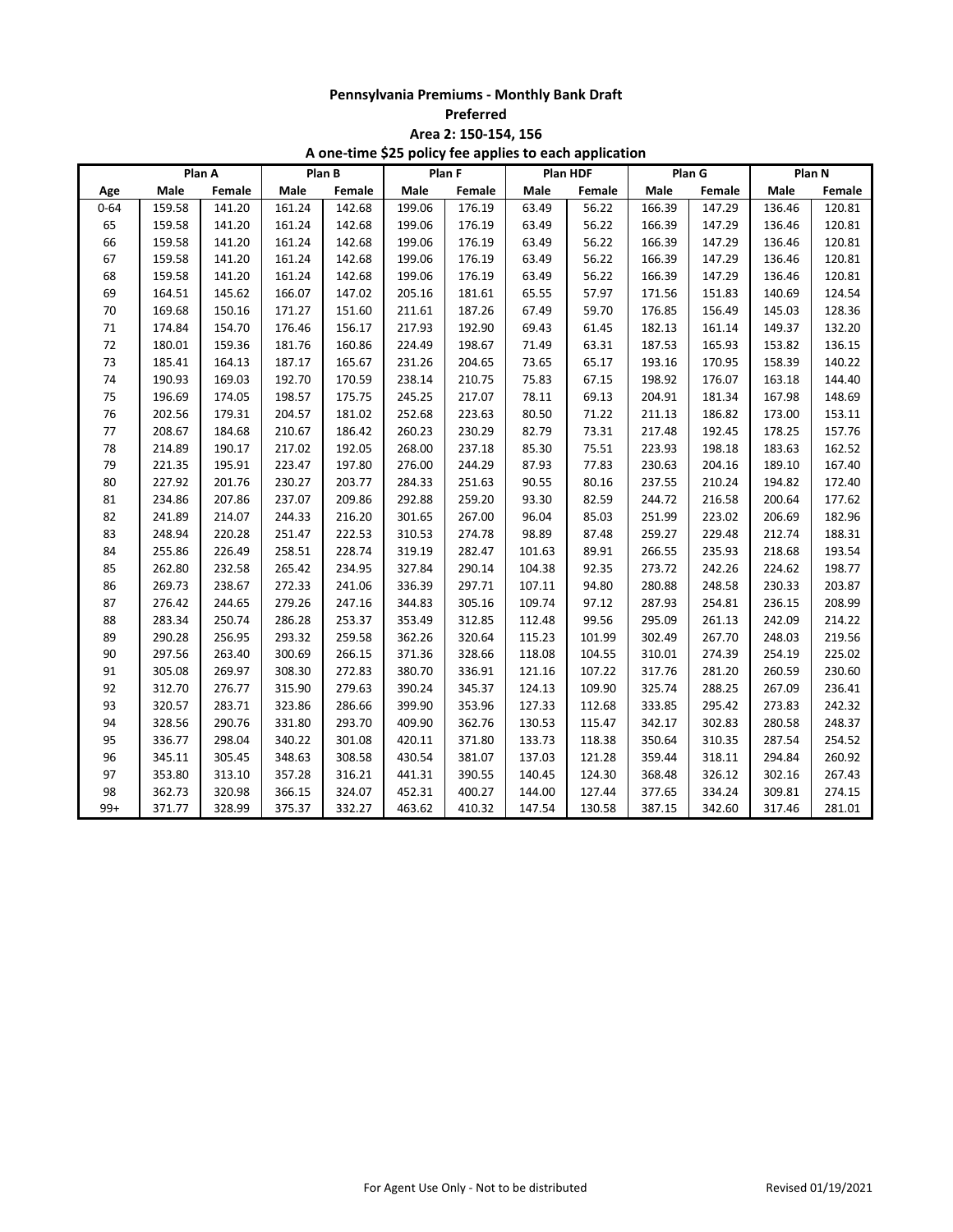**Preferred**

**Area 2: 150-154, 156**

|          | Plan A |        | Plan B |        |        | Plan F |        | Plan HDF |        | Plan G |        | Plan N |  |
|----------|--------|--------|--------|--------|--------|--------|--------|----------|--------|--------|--------|--------|--|
| Age      | Male   | Female | Male   | Female | Male   | Female | Male   | Female   | Male   | Female | Male   | Female |  |
| $0 - 64$ | 159.58 | 141.20 | 161.24 | 142.68 | 199.06 | 176.19 | 63.49  | 56.22    | 166.39 | 147.29 | 136.46 | 120.81 |  |
| 65       | 159.58 | 141.20 | 161.24 | 142.68 | 199.06 | 176.19 | 63.49  | 56.22    | 166.39 | 147.29 | 136.46 | 120.81 |  |
| 66       | 159.58 | 141.20 | 161.24 | 142.68 | 199.06 | 176.19 | 63.49  | 56.22    | 166.39 | 147.29 | 136.46 | 120.81 |  |
| 67       | 159.58 | 141.20 | 161.24 | 142.68 | 199.06 | 176.19 | 63.49  | 56.22    | 166.39 | 147.29 | 136.46 | 120.81 |  |
| 68       | 159.58 | 141.20 | 161.24 | 142.68 | 199.06 | 176.19 | 63.49  | 56.22    | 166.39 | 147.29 | 136.46 | 120.81 |  |
| 69       | 164.51 | 145.62 | 166.07 | 147.02 | 205.16 | 181.61 | 65.55  | 57.97    | 171.56 | 151.83 | 140.69 | 124.54 |  |
| 70       | 169.68 | 150.16 | 171.27 | 151.60 | 211.61 | 187.26 | 67.49  | 59.70    | 176.85 | 156.49 | 145.03 | 128.36 |  |
| 71       | 174.84 | 154.70 | 176.46 | 156.17 | 217.93 | 192.90 | 69.43  | 61.45    | 182.13 | 161.14 | 149.37 | 132.20 |  |
| 72       | 180.01 | 159.36 | 181.76 | 160.86 | 224.49 | 198.67 | 71.49  | 63.31    | 187.53 | 165.93 | 153.82 | 136.15 |  |
| 73       | 185.41 | 164.13 | 187.17 | 165.67 | 231.26 | 204.65 | 73.65  | 65.17    | 193.16 | 170.95 | 158.39 | 140.22 |  |
| 74       | 190.93 | 169.03 | 192.70 | 170.59 | 238.14 | 210.75 | 75.83  | 67.15    | 198.92 | 176.07 | 163.18 | 144.40 |  |
| 75       | 196.69 | 174.05 | 198.57 | 175.75 | 245.25 | 217.07 | 78.11  | 69.13    | 204.91 | 181.34 | 167.98 | 148.69 |  |
| 76       | 202.56 | 179.31 | 204.57 | 181.02 | 252.68 | 223.63 | 80.50  | 71.22    | 211.13 | 186.82 | 173.00 | 153.11 |  |
| 77       | 208.67 | 184.68 | 210.67 | 186.42 | 260.23 | 230.29 | 82.79  | 73.31    | 217.48 | 192.45 | 178.25 | 157.76 |  |
| 78       | 214.89 | 190.17 | 217.02 | 192.05 | 268.00 | 237.18 | 85.30  | 75.51    | 223.93 | 198.18 | 183.63 | 162.52 |  |
| 79       | 221.35 | 195.91 | 223.47 | 197.80 | 276.00 | 244.29 | 87.93  | 77.83    | 230.63 | 204.16 | 189.10 | 167.40 |  |
| 80       | 227.92 | 201.76 | 230.27 | 203.77 | 284.33 | 251.63 | 90.55  | 80.16    | 237.55 | 210.24 | 194.82 | 172.40 |  |
| 81       | 234.86 | 207.86 | 237.07 | 209.86 | 292.88 | 259.20 | 93.30  | 82.59    | 244.72 | 216.58 | 200.64 | 177.62 |  |
| 82       | 241.89 | 214.07 | 244.33 | 216.20 | 301.65 | 267.00 | 96.04  | 85.03    | 251.99 | 223.02 | 206.69 | 182.96 |  |
| 83       | 248.94 | 220.28 | 251.47 | 222.53 | 310.53 | 274.78 | 98.89  | 87.48    | 259.27 | 229.48 | 212.74 | 188.31 |  |
| 84       | 255.86 | 226.49 | 258.51 | 228.74 | 319.19 | 282.47 | 101.63 | 89.91    | 266.55 | 235.93 | 218.68 | 193.54 |  |
| 85       | 262.80 | 232.58 | 265.42 | 234.95 | 327.84 | 290.14 | 104.38 | 92.35    | 273.72 | 242.26 | 224.62 | 198.77 |  |
| 86       | 269.73 | 238.67 | 272.33 | 241.06 | 336.39 | 297.71 | 107.11 | 94.80    | 280.88 | 248.58 | 230.33 | 203.87 |  |
| 87       | 276.42 | 244.65 | 279.26 | 247.16 | 344.83 | 305.16 | 109.74 | 97.12    | 287.93 | 254.81 | 236.15 | 208.99 |  |
| 88       | 283.34 | 250.74 | 286.28 | 253.37 | 353.49 | 312.85 | 112.48 | 99.56    | 295.09 | 261.13 | 242.09 | 214.22 |  |
| 89       | 290.28 | 256.95 | 293.32 | 259.58 | 362.26 | 320.64 | 115.23 | 101.99   | 302.49 | 267.70 | 248.03 | 219.56 |  |
| 90       | 297.56 | 263.40 | 300.69 | 266.15 | 371.36 | 328.66 | 118.08 | 104.55   | 310.01 | 274.39 | 254.19 | 225.02 |  |
| 91       | 305.08 | 269.97 | 308.30 | 272.83 | 380.70 | 336.91 | 121.16 | 107.22   | 317.76 | 281.20 | 260.59 | 230.60 |  |
| 92       | 312.70 | 276.77 | 315.90 | 279.63 | 390.24 | 345.37 | 124.13 | 109.90   | 325.74 | 288.25 | 267.09 | 236.41 |  |
| 93       | 320.57 | 283.71 | 323.86 | 286.66 | 399.90 | 353.96 | 127.33 | 112.68   | 333.85 | 295.42 | 273.83 | 242.32 |  |
| 94       | 328.56 | 290.76 | 331.80 | 293.70 | 409.90 | 362.76 | 130.53 | 115.47   | 342.17 | 302.83 | 280.58 | 248.37 |  |
| 95       | 336.77 | 298.04 | 340.22 | 301.08 | 420.11 | 371.80 | 133.73 | 118.38   | 350.64 | 310.35 | 287.54 | 254.52 |  |
| 96       | 345.11 | 305.45 | 348.63 | 308.58 | 430.54 | 381.07 | 137.03 | 121.28   | 359.44 | 318.11 | 294.84 | 260.92 |  |
| 97       | 353.80 | 313.10 | 357.28 | 316.21 | 441.31 | 390.55 | 140.45 | 124.30   | 368.48 | 326.12 | 302.16 | 267.43 |  |
| 98       | 362.73 | 320.98 | 366.15 | 324.07 | 452.31 | 400.27 | 144.00 | 127.44   | 377.65 | 334.24 | 309.81 | 274.15 |  |
| $99+$    | 371.77 | 328.99 | 375.37 | 332.27 | 463.62 | 410.32 | 147.54 | 130.58   | 387.15 | 342.60 | 317.46 | 281.01 |  |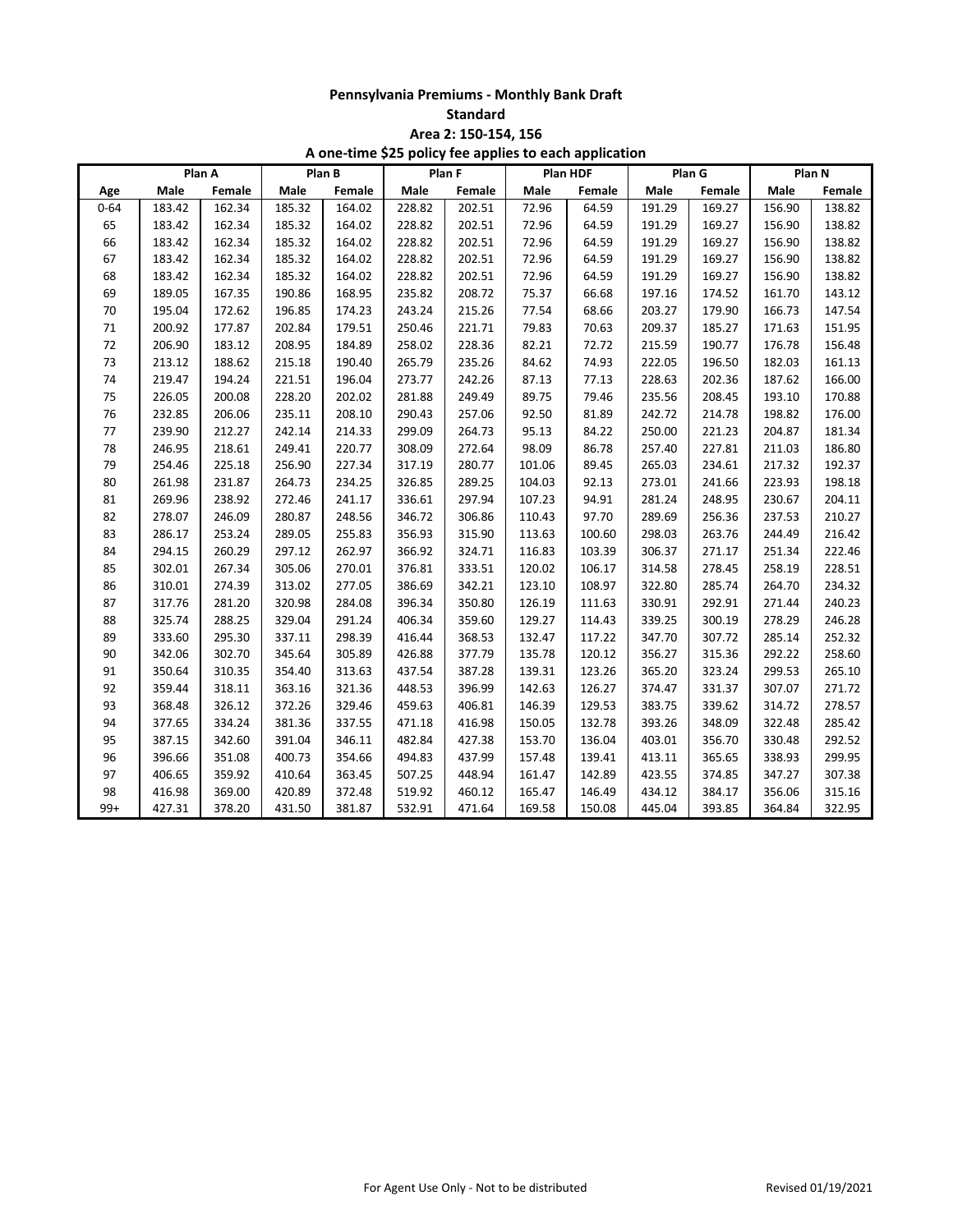**Standard**

**Area 2: 150-154, 156**

|          | Plan A |        | Plan B |        | Plan F |        | Plan HDF |        | Plan G |        | Plan N |        |
|----------|--------|--------|--------|--------|--------|--------|----------|--------|--------|--------|--------|--------|
| Age      | Male   | Female | Male   | Female | Male   | Female | Male     | Female | Male   | Female | Male   | Female |
| $0 - 64$ | 183.42 | 162.34 | 185.32 | 164.02 | 228.82 | 202.51 | 72.96    | 64.59  | 191.29 | 169.27 | 156.90 | 138.82 |
| 65       | 183.42 | 162.34 | 185.32 | 164.02 | 228.82 | 202.51 | 72.96    | 64.59  | 191.29 | 169.27 | 156.90 | 138.82 |
| 66       | 183.42 | 162.34 | 185.32 | 164.02 | 228.82 | 202.51 | 72.96    | 64.59  | 191.29 | 169.27 | 156.90 | 138.82 |
| 67       | 183.42 | 162.34 | 185.32 | 164.02 | 228.82 | 202.51 | 72.96    | 64.59  | 191.29 | 169.27 | 156.90 | 138.82 |
| 68       | 183.42 | 162.34 | 185.32 | 164.02 | 228.82 | 202.51 | 72.96    | 64.59  | 191.29 | 169.27 | 156.90 | 138.82 |
| 69       | 189.05 | 167.35 | 190.86 | 168.95 | 235.82 | 208.72 | 75.37    | 66.68  | 197.16 | 174.52 | 161.70 | 143.12 |
| 70       | 195.04 | 172.62 | 196.85 | 174.23 | 243.24 | 215.26 | 77.54    | 68.66  | 203.27 | 179.90 | 166.73 | 147.54 |
| 71       | 200.92 | 177.87 | 202.84 | 179.51 | 250.46 | 221.71 | 79.83    | 70.63  | 209.37 | 185.27 | 171.63 | 151.95 |
| $72\,$   | 206.90 | 183.12 | 208.95 | 184.89 | 258.02 | 228.36 | 82.21    | 72.72  | 215.59 | 190.77 | 176.78 | 156.48 |
| 73       | 213.12 | 188.62 | 215.18 | 190.40 | 265.79 | 235.26 | 84.62    | 74.93  | 222.05 | 196.50 | 182.03 | 161.13 |
| 74       | 219.47 | 194.24 | 221.51 | 196.04 | 273.77 | 242.26 | 87.13    | 77.13  | 228.63 | 202.36 | 187.62 | 166.00 |
| 75       | 226.05 | 200.08 | 228.20 | 202.02 | 281.88 | 249.49 | 89.75    | 79.46  | 235.56 | 208.45 | 193.10 | 170.88 |
| 76       | 232.85 | 206.06 | 235.11 | 208.10 | 290.43 | 257.06 | 92.50    | 81.89  | 242.72 | 214.78 | 198.82 | 176.00 |
| 77       | 239.90 | 212.27 | 242.14 | 214.33 | 299.09 | 264.73 | 95.13    | 84.22  | 250.00 | 221.23 | 204.87 | 181.34 |
| 78       | 246.95 | 218.61 | 249.41 | 220.77 | 308.09 | 272.64 | 98.09    | 86.78  | 257.40 | 227.81 | 211.03 | 186.80 |
| 79       | 254.46 | 225.18 | 256.90 | 227.34 | 317.19 | 280.77 | 101.06   | 89.45  | 265.03 | 234.61 | 217.32 | 192.37 |
| 80       | 261.98 | 231.87 | 264.73 | 234.25 | 326.85 | 289.25 | 104.03   | 92.13  | 273.01 | 241.66 | 223.93 | 198.18 |
| 81       | 269.96 | 238.92 | 272.46 | 241.17 | 336.61 | 297.94 | 107.23   | 94.91  | 281.24 | 248.95 | 230.67 | 204.11 |
| 82       | 278.07 | 246.09 | 280.87 | 248.56 | 346.72 | 306.86 | 110.43   | 97.70  | 289.69 | 256.36 | 237.53 | 210.27 |
| 83       | 286.17 | 253.24 | 289.05 | 255.83 | 356.93 | 315.90 | 113.63   | 100.60 | 298.03 | 263.76 | 244.49 | 216.42 |
| 84       | 294.15 | 260.29 | 297.12 | 262.97 | 366.92 | 324.71 | 116.83   | 103.39 | 306.37 | 271.17 | 251.34 | 222.46 |
| 85       | 302.01 | 267.34 | 305.06 | 270.01 | 376.81 | 333.51 | 120.02   | 106.17 | 314.58 | 278.45 | 258.19 | 228.51 |
| 86       | 310.01 | 274.39 | 313.02 | 277.05 | 386.69 | 342.21 | 123.10   | 108.97 | 322.80 | 285.74 | 264.70 | 234.32 |
| 87       | 317.76 | 281.20 | 320.98 | 284.08 | 396.34 | 350.80 | 126.19   | 111.63 | 330.91 | 292.91 | 271.44 | 240.23 |
| 88       | 325.74 | 288.25 | 329.04 | 291.24 | 406.34 | 359.60 | 129.27   | 114.43 | 339.25 | 300.19 | 278.29 | 246.28 |
| 89       | 333.60 | 295.30 | 337.11 | 298.39 | 416.44 | 368.53 | 132.47   | 117.22 | 347.70 | 307.72 | 285.14 | 252.32 |
| 90       | 342.06 | 302.70 | 345.64 | 305.89 | 426.88 | 377.79 | 135.78   | 120.12 | 356.27 | 315.36 | 292.22 | 258.60 |
| 91       | 350.64 | 310.35 | 354.40 | 313.63 | 437.54 | 387.28 | 139.31   | 123.26 | 365.20 | 323.24 | 299.53 | 265.10 |
| 92       | 359.44 | 318.11 | 363.16 | 321.36 | 448.53 | 396.99 | 142.63   | 126.27 | 374.47 | 331.37 | 307.07 | 271.72 |
| 93       | 368.48 | 326.12 | 372.26 | 329.46 | 459.63 | 406.81 | 146.39   | 129.53 | 383.75 | 339.62 | 314.72 | 278.57 |
| 94       | 377.65 | 334.24 | 381.36 | 337.55 | 471.18 | 416.98 | 150.05   | 132.78 | 393.26 | 348.09 | 322.48 | 285.42 |
| 95       | 387.15 | 342.60 | 391.04 | 346.11 | 482.84 | 427.38 | 153.70   | 136.04 | 403.01 | 356.70 | 330.48 | 292.52 |
| 96       | 396.66 | 351.08 | 400.73 | 354.66 | 494.83 | 437.99 | 157.48   | 139.41 | 413.11 | 365.65 | 338.93 | 299.95 |
| 97       | 406.65 | 359.92 | 410.64 | 363.45 | 507.25 | 448.94 | 161.47   | 142.89 | 423.55 | 374.85 | 347.27 | 307.38 |
| 98       | 416.98 | 369.00 | 420.89 | 372.48 | 519.92 | 460.12 | 165.47   | 146.49 | 434.12 | 384.17 | 356.06 | 315.16 |
| $99+$    | 427.31 | 378.20 | 431.50 | 381.87 | 532.91 | 471.64 | 169.58   | 150.08 | 445.04 | 393.85 | 364.84 | 322.95 |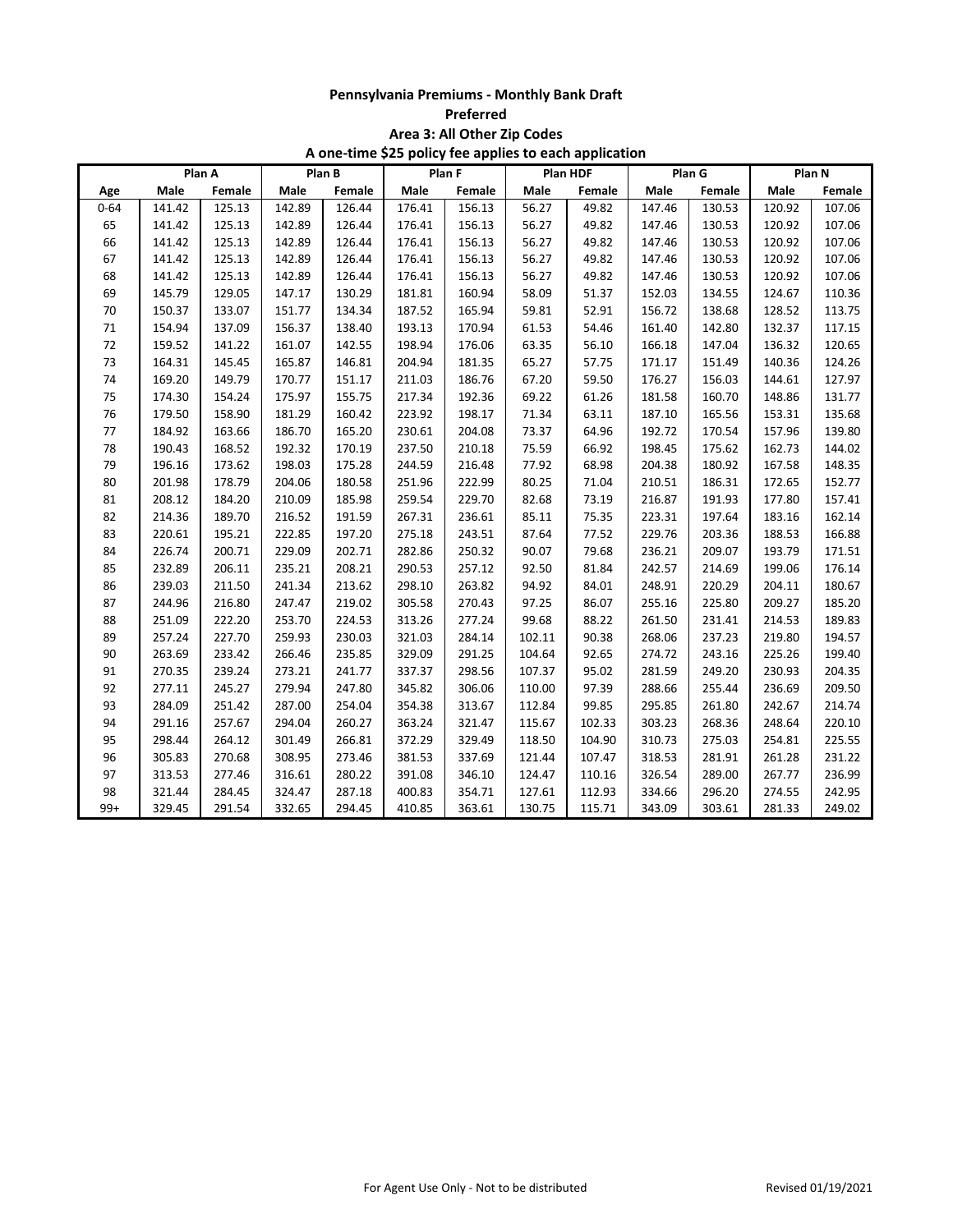| Preferred |  |
|-----------|--|
|-----------|--|

**Area 3: All Other Zip Codes**

|          | Plan A |        | Plan B |        |        | . .<br>Plan F |        | . .<br>Plan HDF | Plan G |        | Plan N |        |
|----------|--------|--------|--------|--------|--------|---------------|--------|-----------------|--------|--------|--------|--------|
| Age      | Male   | Female | Male   | Female | Male   | Female        | Male   | Female          | Male   | Female | Male   | Female |
| $0 - 64$ | 141.42 | 125.13 | 142.89 | 126.44 | 176.41 | 156.13        | 56.27  | 49.82           | 147.46 | 130.53 | 120.92 | 107.06 |
| 65       | 141.42 | 125.13 | 142.89 | 126.44 | 176.41 | 156.13        | 56.27  | 49.82           | 147.46 | 130.53 | 120.92 | 107.06 |
| 66       | 141.42 | 125.13 | 142.89 | 126.44 | 176.41 | 156.13        | 56.27  | 49.82           | 147.46 | 130.53 | 120.92 | 107.06 |
| 67       | 141.42 | 125.13 | 142.89 | 126.44 | 176.41 | 156.13        | 56.27  | 49.82           | 147.46 | 130.53 | 120.92 | 107.06 |
| 68       | 141.42 | 125.13 | 142.89 | 126.44 | 176.41 | 156.13        | 56.27  | 49.82           | 147.46 | 130.53 | 120.92 | 107.06 |
| 69       | 145.79 | 129.05 | 147.17 | 130.29 | 181.81 | 160.94        | 58.09  | 51.37           | 152.03 | 134.55 | 124.67 | 110.36 |
| 70       | 150.37 | 133.07 | 151.77 | 134.34 | 187.52 | 165.94        | 59.81  | 52.91           | 156.72 | 138.68 | 128.52 | 113.75 |
| $71\,$   | 154.94 | 137.09 | 156.37 | 138.40 | 193.13 | 170.94        | 61.53  | 54.46           | 161.40 | 142.80 | 132.37 | 117.15 |
| 72       | 159.52 | 141.22 | 161.07 | 142.55 | 198.94 | 176.06        | 63.35  | 56.10           | 166.18 | 147.04 | 136.32 | 120.65 |
| 73       | 164.31 | 145.45 | 165.87 | 146.81 | 204.94 | 181.35        | 65.27  | 57.75           | 171.17 | 151.49 | 140.36 | 124.26 |
| 74       | 169.20 | 149.79 | 170.77 | 151.17 | 211.03 | 186.76        | 67.20  | 59.50           | 176.27 | 156.03 | 144.61 | 127.97 |
| 75       | 174.30 | 154.24 | 175.97 | 155.75 | 217.34 | 192.36        | 69.22  | 61.26           | 181.58 | 160.70 | 148.86 | 131.77 |
| 76       | 179.50 | 158.90 | 181.29 | 160.42 | 223.92 | 198.17        | 71.34  | 63.11           | 187.10 | 165.56 | 153.31 | 135.68 |
| $77 \,$  | 184.92 | 163.66 | 186.70 | 165.20 | 230.61 | 204.08        | 73.37  | 64.96           | 192.72 | 170.54 | 157.96 | 139.80 |
| 78       | 190.43 | 168.52 | 192.32 | 170.19 | 237.50 | 210.18        | 75.59  | 66.92           | 198.45 | 175.62 | 162.73 | 144.02 |
| 79       | 196.16 | 173.62 | 198.03 | 175.28 | 244.59 | 216.48        | 77.92  | 68.98           | 204.38 | 180.92 | 167.58 | 148.35 |
| 80       | 201.98 | 178.79 | 204.06 | 180.58 | 251.96 | 222.99        | 80.25  | 71.04           | 210.51 | 186.31 | 172.65 | 152.77 |
| 81       | 208.12 | 184.20 | 210.09 | 185.98 | 259.54 | 229.70        | 82.68  | 73.19           | 216.87 | 191.93 | 177.80 | 157.41 |
| 82       | 214.36 | 189.70 | 216.52 | 191.59 | 267.31 | 236.61        | 85.11  | 75.35           | 223.31 | 197.64 | 183.16 | 162.14 |
| 83       | 220.61 | 195.21 | 222.85 | 197.20 | 275.18 | 243.51        | 87.64  | 77.52           | 229.76 | 203.36 | 188.53 | 166.88 |
| 84       | 226.74 | 200.71 | 229.09 | 202.71 | 282.86 | 250.32        | 90.07  | 79.68           | 236.21 | 209.07 | 193.79 | 171.51 |
| 85       | 232.89 | 206.11 | 235.21 | 208.21 | 290.53 | 257.12        | 92.50  | 81.84           | 242.57 | 214.69 | 199.06 | 176.14 |
| 86       | 239.03 | 211.50 | 241.34 | 213.62 | 298.10 | 263.82        | 94.92  | 84.01           | 248.91 | 220.29 | 204.11 | 180.67 |
| 87       | 244.96 | 216.80 | 247.47 | 219.02 | 305.58 | 270.43        | 97.25  | 86.07           | 255.16 | 225.80 | 209.27 | 185.20 |
| 88       | 251.09 | 222.20 | 253.70 | 224.53 | 313.26 | 277.24        | 99.68  | 88.22           | 261.50 | 231.41 | 214.53 | 189.83 |
| 89       | 257.24 | 227.70 | 259.93 | 230.03 | 321.03 | 284.14        | 102.11 | 90.38           | 268.06 | 237.23 | 219.80 | 194.57 |
| 90       | 263.69 | 233.42 | 266.46 | 235.85 | 329.09 | 291.25        | 104.64 | 92.65           | 274.72 | 243.16 | 225.26 | 199.40 |
| 91       | 270.35 | 239.24 | 273.21 | 241.77 | 337.37 | 298.56        | 107.37 | 95.02           | 281.59 | 249.20 | 230.93 | 204.35 |
| 92       | 277.11 | 245.27 | 279.94 | 247.80 | 345.82 | 306.06        | 110.00 | 97.39           | 288.66 | 255.44 | 236.69 | 209.50 |
| 93       | 284.09 | 251.42 | 287.00 | 254.04 | 354.38 | 313.67        | 112.84 | 99.85           | 295.85 | 261.80 | 242.67 | 214.74 |
| 94       | 291.16 | 257.67 | 294.04 | 260.27 | 363.24 | 321.47        | 115.67 | 102.33          | 303.23 | 268.36 | 248.64 | 220.10 |
| 95       | 298.44 | 264.12 | 301.49 | 266.81 | 372.29 | 329.49        | 118.50 | 104.90          | 310.73 | 275.03 | 254.81 | 225.55 |
| 96       | 305.83 | 270.68 | 308.95 | 273.46 | 381.53 | 337.69        | 121.44 | 107.47          | 318.53 | 281.91 | 261.28 | 231.22 |
| 97       | 313.53 | 277.46 | 316.61 | 280.22 | 391.08 | 346.10        | 124.47 | 110.16          | 326.54 | 289.00 | 267.77 | 236.99 |
| 98       | 321.44 | 284.45 | 324.47 | 287.18 | 400.83 | 354.71        | 127.61 | 112.93          | 334.66 | 296.20 | 274.55 | 242.95 |
| $99+$    | 329.45 | 291.54 | 332.65 | 294.45 | 410.85 | 363.61        | 130.75 | 115.71          | 343.09 | 303.61 | 281.33 | 249.02 |